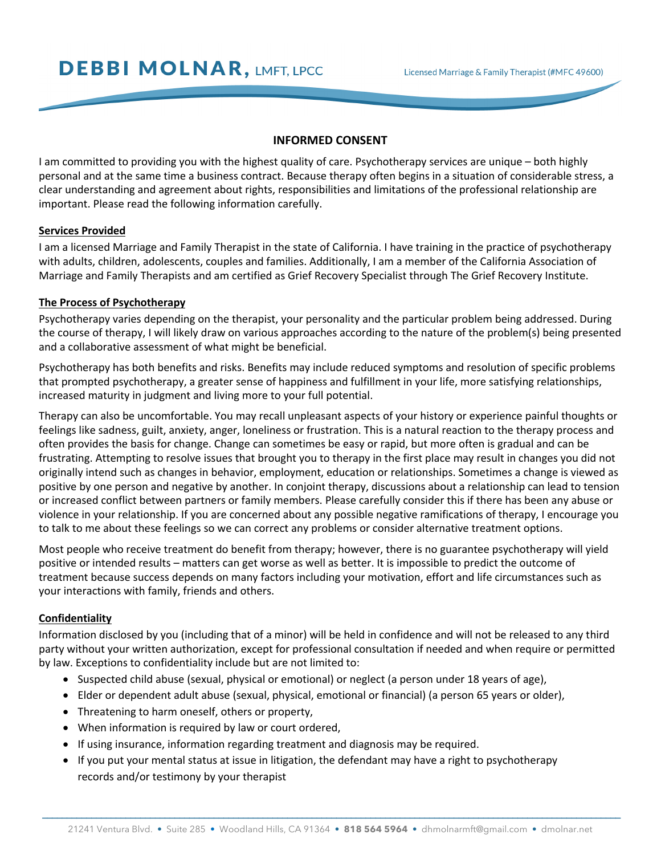# **INFORMED CONSENT**

I am committed to providing you with the highest quality of care. Psychotherapy services are unique – both highly personal and at the same time a business contract. Because therapy often begins in a situation of considerable stress, a clear understanding and agreement about rights, responsibilities and limitations of the professional relationship are important. Please read the following information carefully.

## **Services Provided**

I am a licensed Marriage and Family Therapist in the state of California. I have training in the practice of psychotherapy with adults, children, adolescents, couples and families. Additionally, I am a member of the California Association of Marriage and Family Therapists and am certified as Grief Recovery Specialist through The Grief Recovery Institute.

### **The Process of Psychotherapy**

Psychotherapy varies depending on the therapist, your personality and the particular problem being addressed. During the course of therapy, I will likely draw on various approaches according to the nature of the problem(s) being presented and a collaborative assessment of what might be beneficial.

Psychotherapy has both benefits and risks. Benefits may include reduced symptoms and resolution of specific problems that prompted psychotherapy, a greater sense of happiness and fulfillment in your life, more satisfying relationships, increased maturity in judgment and living more to your full potential.

Therapy can also be uncomfortable. You may recall unpleasant aspects of your history or experience painful thoughts or feelings like sadness, guilt, anxiety, anger, loneliness or frustration. This is a natural reaction to the therapy process and often provides the basis for change. Change can sometimes be easy or rapid, but more often is gradual and can be frustrating. Attempting to resolve issues that brought you to therapy in the first place may result in changes you did not originally intend such as changes in behavior, employment, education or relationships. Sometimes a change is viewed as positive by one person and negative by another. In conjoint therapy, discussions about a relationship can lead to tension or increased conflict between partners or family members. Please carefully consider this if there has been any abuse or violence in your relationship. If you are concerned about any possible negative ramifications of therapy, I encourage you to talk to me about these feelings so we can correct any problems or consider alternative treatment options.

Most people who receive treatment do benefit from therapy; however, there is no guarantee psychotherapy will yield positive or intended results – matters can get worse as well as better. It is impossible to predict the outcome of treatment because success depends on many factors including your motivation, effort and life circumstances such as your interactions with family, friends and others.

## **Confidentiality**

Information disclosed by you (including that of a minor) will be held in confidence and will not be released to any third party without your written authorization, except for professional consultation if needed and when require or permitted by law. Exceptions to confidentiality include but are not limited to:

- Suspected child abuse (sexual, physical or emotional) or neglect (a person under 18 years of age),
- Elder or dependent adult abuse (sexual, physical, emotional or financial) (a person 65 years or older),
- Threatening to harm oneself, others or property,
- When information is required by law or court ordered,
- If using insurance, information regarding treatment and diagnosis may be required.
- If you put your mental status at issue in litigation, the defendant may have a right to psychotherapy records and/or testimony by your therapist